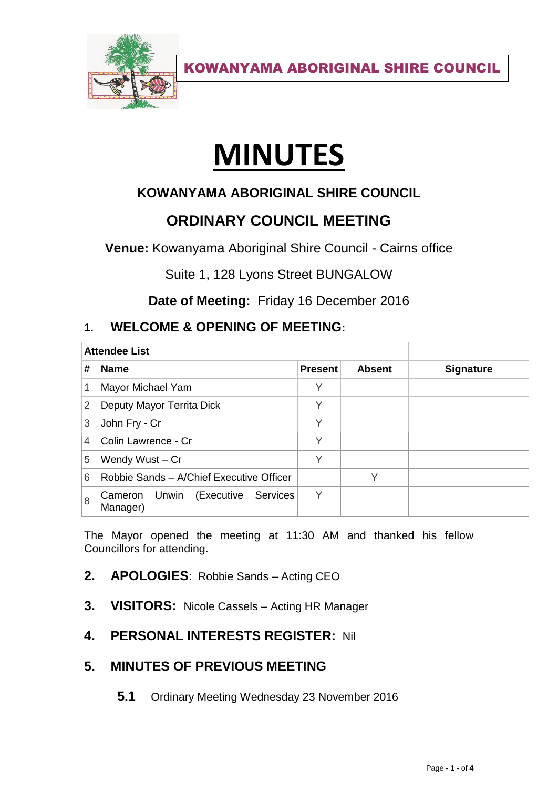

KOWANYAMA ABORIGINAL SHIRE COUNCIL

# **MINUTES**

# **KOWANYAMA ABORIGINAL SHIRE COUNCIL**

# **ORDINARY COUNCIL MEETING**

**Venue:** Kowanyama Aboriginal Shire Council - Cairns office

Suite 1, 128 Lyons Street BUNGALOW

**Date of Meeting:** Friday 16 December 2016

## **1. WELCOME & OPENING OF MEETING:**

| <b>Attendee List</b> |                                                  |                |               |                  |
|----------------------|--------------------------------------------------|----------------|---------------|------------------|
| #                    | <b>Name</b>                                      | <b>Present</b> | <b>Absent</b> | <b>Signature</b> |
| 1                    | Mayor Michael Yam                                | Υ              |               |                  |
| $\overline{2}$       | Deputy Mayor Territa Dick                        | Υ              |               |                  |
| 3                    | John Fry - Cr                                    | Υ              |               |                  |
| $\overline{4}$       | Colin Lawrence - Cr                              | V              |               |                  |
| 5                    | Wendy Wust - Cr                                  | $\checkmark$   |               |                  |
| 6                    | Robbie Sands - A/Chief Executive Officer         |                |               |                  |
| 8                    | Unwin (Executive Services<br>Cameron<br>Manager) | Υ              |               |                  |

The Mayor opened the meeting at 11:30 AM and thanked his fellow Councillors for attending.

#### **2. APOLOGIES**: Robbie Sands – Acting CEO

**3. VISITORS:** Nicole Cassels – Acting HR Manager

# **4. PERSONAL INTERESTS REGISTER:** Nil

## **5. MINUTES OF PREVIOUS MEETING**

**5.1** Ordinary Meeting Wednesday 23 November 2016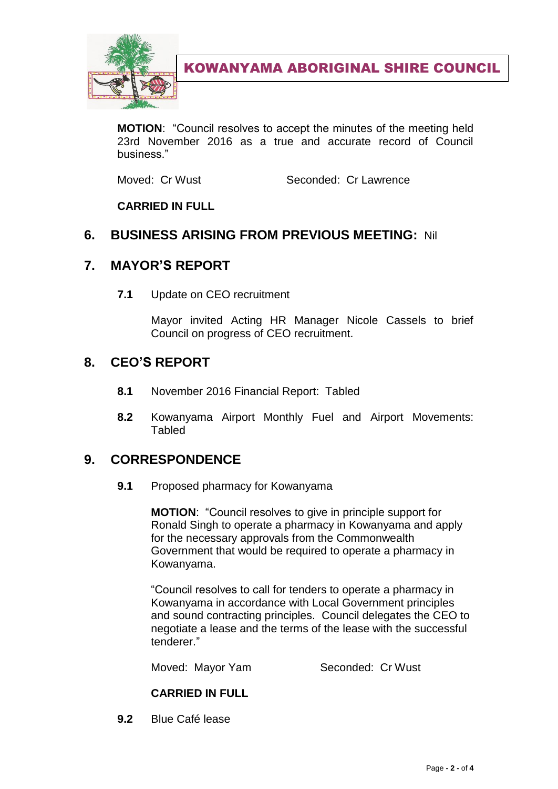

KOWANYAMA ABORIGINAL SHIRE COUNCIL

**MOTION**: "Council resolves to accept the minutes of the meeting held 23rd November 2016 as a true and accurate record of Council business."

Moved: Cr Wust Seconded: Cr Lawrence

**CARRIED IN FULL**

#### **6. BUSINESS ARISING FROM PREVIOUS MEETING:** Nil

#### **7. MAYOR'S REPORT**

**7.1** Update on CEO recruitment

Mayor invited Acting HR Manager Nicole Cassels to brief Council on progress of CEO recruitment.

#### **8. CEO'S REPORT**

- **8.1** November 2016 Financial Report: Tabled
- **8.2** Kowanyama Airport Monthly Fuel and Airport Movements: **Tabled**

#### **9. CORRESPONDENCE**

**9.1** Proposed pharmacy for Kowanyama

**MOTION**: "Council resolves to give in principle support for Ronald Singh to operate a pharmacy in Kowanyama and apply for the necessary approvals from the Commonwealth Government that would be required to operate a pharmacy in Kowanyama.

"Council resolves to call for tenders to operate a pharmacy in Kowanyama in accordance with Local Government principles and sound contracting principles. Council delegates the CEO to negotiate a lease and the terms of the lease with the successful tenderer."

Moved: Mayor Yam Seconded: Cr Wust

#### **CARRIED IN FULL**

**9.2** Blue Café lease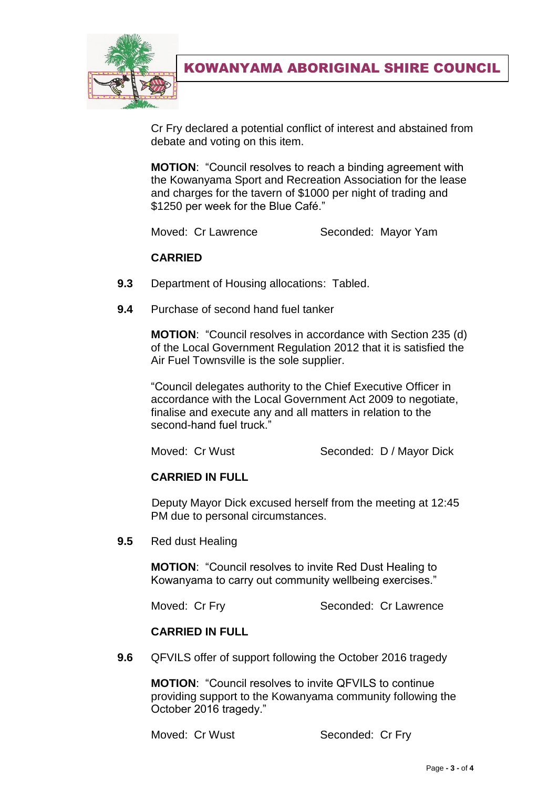

KOWANYAMA ABORIGINAL SHIRE COUNCIL

Cr Fry declared a potential conflict of interest and abstained from debate and voting on this item.

**MOTION**: "Council resolves to reach a binding agreement with the Kowanyama Sport and Recreation Association for the lease and charges for the tavern of \$1000 per night of trading and \$1250 per week for the Blue Café."

Moved: Cr Lawrence Seconded: Mayor Yam

#### **CARRIED**

- **9.3** Department of Housing allocations: Tabled.
- **9.4** Purchase of second hand fuel tanker

**MOTION**: "Council resolves in accordance with Section 235 (d) of the Local Government Regulation 2012 that it is satisfied the Air Fuel Townsville is the sole supplier.

"Council delegates authority to the Chief Executive Officer in accordance with the Local Government Act 2009 to negotiate, finalise and execute any and all matters in relation to the second-hand fuel truck."

Moved: Cr Wust Seconded: D / Mayor Dick

#### **CARRIED IN FULL**

Deputy Mayor Dick excused herself from the meeting at 12:45 PM due to personal circumstances.

**9.5** Red dust Healing

**MOTION**: "Council resolves to invite Red Dust Healing to Kowanyama to carry out community wellbeing exercises."

Moved: Cr Fry Seconded: Cr Lawrence

#### **CARRIED IN FULL**

**9.6** QFVILS offer of support following the October 2016 tragedy

**MOTION**: "Council resolves to invite QFVILS to continue providing support to the Kowanyama community following the October 2016 tragedy."

Moved: Cr Wust Seconded: Cr Fry